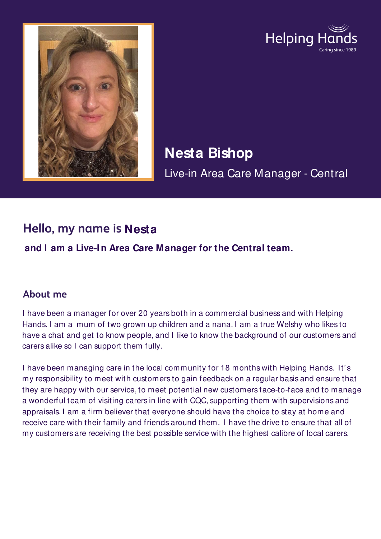



# **Nesta Bishop**  Live-in Area Care Manager - Central

## **Hello, my name is Nesta**

**and I am a Live-I n Area Care Manager for the Central team.**

#### **About me**

I have been a manager for over 20 years both in a commercial business and with Helping Hands. I am a mum of two grown up children and a nana. I am a true Welshy who likes to have a chat and get to know people, and I like to know the background of our customers and carers alike so I can support them fully.

I have been managing care in the local community for 18 months with Helping Hands. It's my responsibility to meet with customers to gain feedback on a regular basis and ensure that they are happy with our service, to meet potential new customers face-to-face and to manage a wonderful team of visiting carers in line with CQC, supporting them with supervisions and appraisals. I am a firm believer that everyone should have the choice to stay at home and receive care with their family and friends around them. I have the drive to ensure that all of my customers are receiving the best possible service with the highest calibre of local carers.